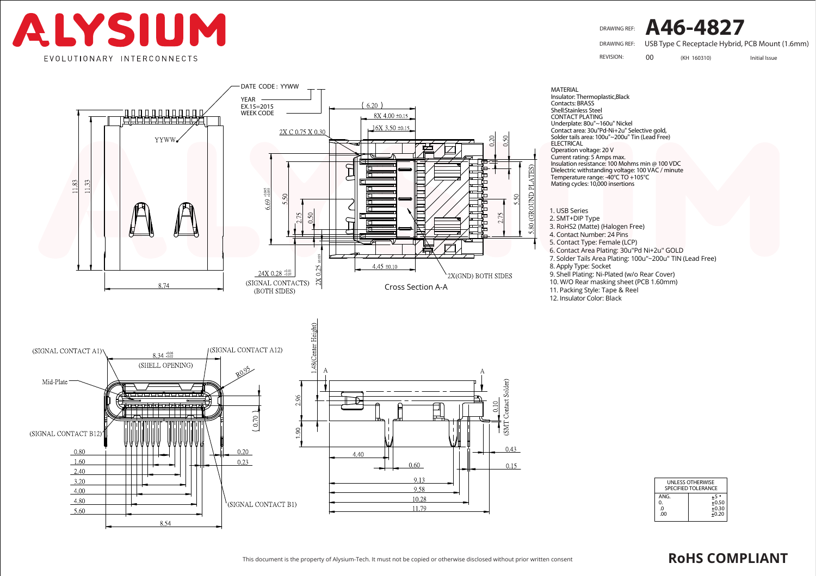

DRAWING REF: **A46-4827** USB Type C Receptacle Hybrid, PCB Mount (1.6mm) 00 (KH 160310) Initial Issue DRAWING REF:

REVISION:



Insulator: Thermoplastic,Black Contacts: BRASS Shell:Stainless Steel CONTACT PLATING Underplate: 80u"~160u" Nickel Contact area: 30u''Pd-Ni+2u" Selective gold, Solder tails area: 100u"~200u" Tin (Lead Free) **ELECTRICAL** Operation voltage: 20 V Current rating: 5 Amps max. Insulation resistance: 100 Mohms min @ 100 VDC Dielectric withstanding voltage: 100 VAC / minute Temperature range: -40°C TO +105°C Mating cycles: 10,000 insertions

1. USB Series

2. SMT+DIP Type 3. RoHS2 (Matte) (Halogen Free) 4. Contact Number: 24 Pins 5. Contact Type: Female (LCP) 6. Contact Area Plating: 30u"Pd Ni+2u'' GOLD 7. Solder Tails Area Plating: 100u"~200u" TIN (Lead Free) 8. Apply Type: Socket 9. Shell Plating: Ni-Plated (w/o Rear Cover) 10. W/O Rear masking sheet (PCB 1.60mm) 11. Packing Style: Tape & Reel

12. Insulator Color: Black



| UNLESS OTHERWISE<br><b>SPECIFIED TOLERANCE</b> |         |  |
|------------------------------------------------|---------|--|
| ANG.                                           | +5      |  |
| 0.                                             | $+0.50$ |  |
| $\Omega$                                       | $+0.30$ |  |
| .00                                            | $+0.20$ |  |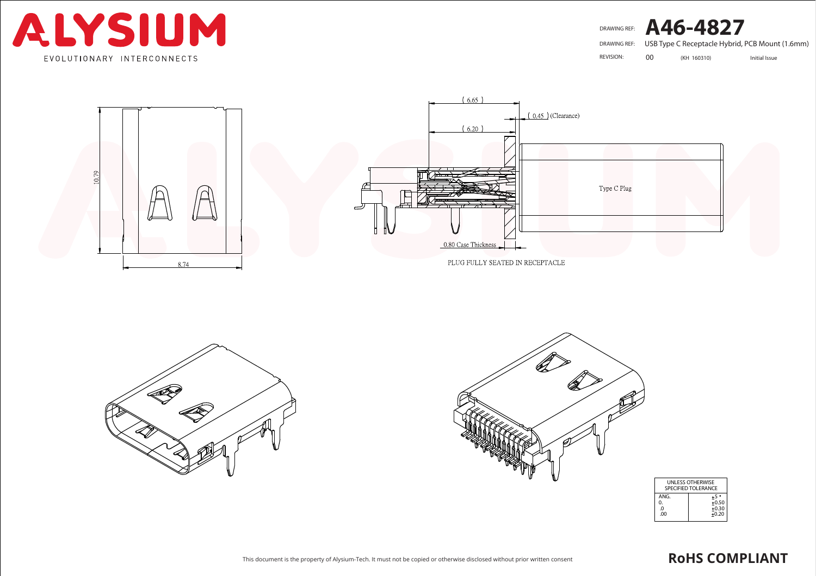









| UNLESS OTHERWISE<br><b>SPECIFIED TOLERANCE</b> |         |  |
|------------------------------------------------|---------|--|
| ANG.                                           | $+5$    |  |
| 0.                                             | $+0.50$ |  |
| $\Omega$                                       | $+0.30$ |  |
| .00                                            | $+0.20$ |  |